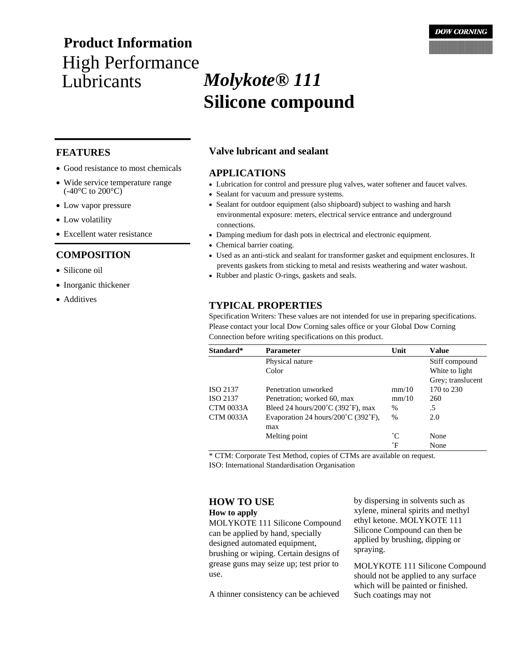# High Performance<br>Lubricants **Product Information**

- Good resistance to most chemicals
- Wide service temperature range  $(-40^{\circ}C \text{ to } 200^{\circ}C)$
- Low vapor pressure
- Low volatility
- Excellent water resistance

# **COMPOSITION**

- Silicone oil
- Inorganic thickener
- Additives

# **FEATURES Valve lubricant and sealant**

### **APPLICATIONS**

- Lubrication for control and pressure plug valves, water softener and faucet valves.
- Sealant for vacuum and pressure systems.
- Sealant for outdoor equipment (also shipboard) subject to washing and harsh environmental exposure: meters, electrical service entrance and underground connections.
- Damping medium for dash pots in electrical and electronic equipment.
- Chemical barrier coating.
- Used as an anti-stick and sealant for transformer gasket and equipment enclosures. It prevents gaskets from sticking to metal and resists weathering and water washout.
- Rubber and plastic O-rings, gaskets and seals.

# **TYPICAL PROPERTIES**

Specification Writers: These values are not intended for use in preparing specifications. Please contact your local Dow Corning sales office or your Global Dow Corning Connection before writing specifications on this product.

| Standard*        | <b>Parameter</b>                                          | Unit          | <b>Value</b>      |
|------------------|-----------------------------------------------------------|---------------|-------------------|
|                  | Physical nature                                           |               | Stiff compound    |
|                  | Color                                                     |               | White to light    |
|                  |                                                           |               | Grey; translucent |
| ISO 2137         | Penetration unworked                                      | mm/10         | 170 to 230        |
| ISO 2137         | Penetration; worked 60, max                               | mm/10         | 260               |
| <b>CTM 0033A</b> | Bleed 24 hours/200 $\degree$ C (392 $\degree$ F), max     | $\%$          | .5                |
| <b>CTM 0033A</b> | Evaporation 24 hours/ $200^{\circ}$ C (392 $^{\circ}$ F), | $\frac{0}{0}$ | 2.0               |
|                  | max                                                       |               |                   |
|                  | Melting point                                             | $^{\circ}C$   | None              |
|                  |                                                           | $\mathsf{P}$  | None              |

\* CTM: Corporate Test Method, copies of CTMs are available on request.

ISO: International Standardisation Organisation

# **HOW TO USE**

#### **How to apply**

MOLYKOTE 111 Silicone Compound can be applied by hand, specially designed automated equipment, brushing or wiping. Certain designs of grease guns may seize up; test prior to use.

A thinner consistency can be achieved

by dispersing in solvents such as xylene, mineral spirits and methyl ethyl ketone. MOLYKOTE 111 Silicone Compound can then be applied by brushing, dipping or spraying.

MOLYKOTE 111 Silicone Compound should not be applied to any surface which will be painted or finished. Such coatings may not